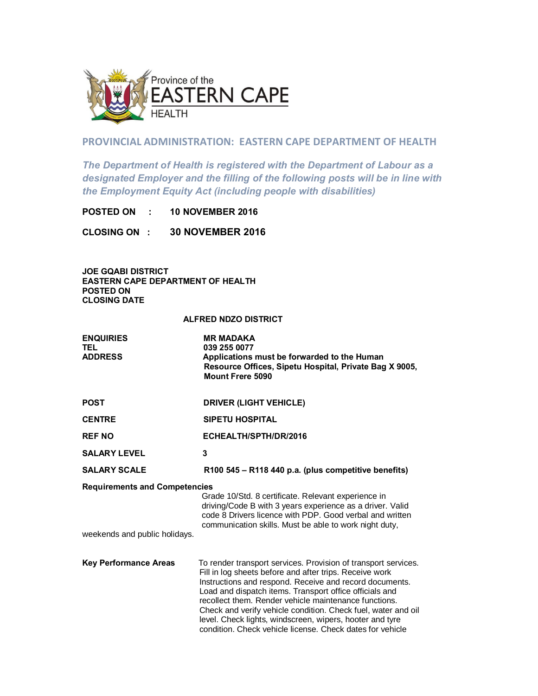

## **PROVINCIAL ADMINISTRATION: EASTERN CAPE DEPARTMENT OF HEALTH**

*The Department of Health is registered with the Department of Labour as a designated Employer and the filling of the following posts will be in line with the Employment Equity Act (including people with disabilities)*

**POSTED ON : 10 NOVEMBER 2016**

**CLOSING ON : 30 NOVEMBER 2016**

**JOE GQABI DISTRICT EASTERN CAPE DEPARTMENT OF HEALTH POSTED ON CLOSING DATE**

## **ALFRED NDZO DISTRICT**

| <b>ENQUIRIES</b><br>TEL<br><b>ADDRESS</b>                             | <b>MR MADAKA</b><br>039 255 0077<br>Applications must be forwarded to the Human<br>Resource Offices, Sipetu Hospital, Private Bag X 9005,<br>Mount Frere 5090                                                                                                                                                                                                                                                                                                                                      |
|-----------------------------------------------------------------------|----------------------------------------------------------------------------------------------------------------------------------------------------------------------------------------------------------------------------------------------------------------------------------------------------------------------------------------------------------------------------------------------------------------------------------------------------------------------------------------------------|
| POST                                                                  | <b>DRIVER (LIGHT VEHICLE)</b>                                                                                                                                                                                                                                                                                                                                                                                                                                                                      |
| <b>CENTRE</b>                                                         | <b>SIPETU HOSPITAL</b>                                                                                                                                                                                                                                                                                                                                                                                                                                                                             |
| REF NO                                                                | ECHEALTH/SPTH/DR/2016                                                                                                                                                                                                                                                                                                                                                                                                                                                                              |
| <b>SALARY LEVEL</b>                                                   | 3                                                                                                                                                                                                                                                                                                                                                                                                                                                                                                  |
| <b>SALARY SCALE</b>                                                   | R100 545 - R118 440 p.a. (plus competitive benefits)                                                                                                                                                                                                                                                                                                                                                                                                                                               |
| <b>Requirements and Competencies</b><br>weekends and public holidays. | Grade 10/Std. 8 certificate. Relevant experience in<br>driving/Code B with 3 years experience as a driver. Valid<br>code 8 Drivers licence with PDP. Good verbal and written<br>communication skills. Must be able to work night duty,                                                                                                                                                                                                                                                             |
| Key Performance Areas                                                 | To render transport services. Provision of transport services.<br>Fill in log sheets before and after trips. Receive work<br>Instructions and respond. Receive and record documents.<br>Load and dispatch items. Transport office officials and<br>recollect them. Render vehicle maintenance functions.<br>Check and verify vehicle condition. Check fuel, water and oil<br>level. Check lights, windscreen, wipers, hooter and tyre<br>condition. Check vehicle license. Check dates for vehicle |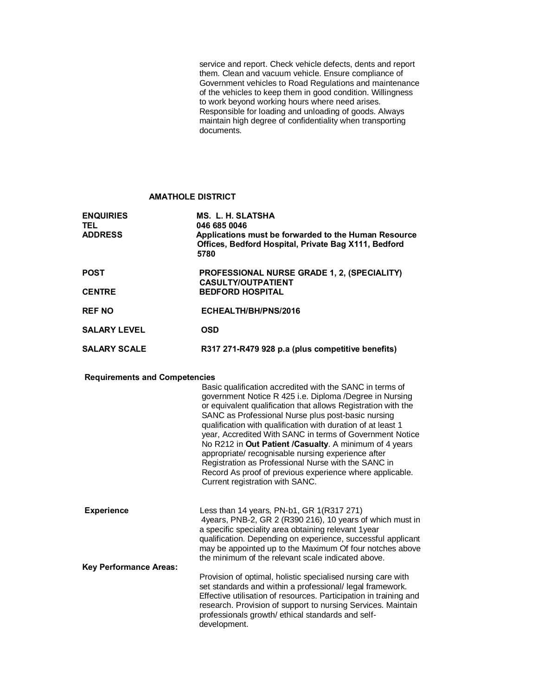service and report. Check vehicle defects, dents and report them. Clean and vacuum vehicle. Ensure compliance of Government vehicles to Road Regulations and maintenance of the vehicles to keep them in good condition. Willingness to work beyond working hours where need arises. Responsible for loading and unloading of goods. Always maintain high degree of confidentiality when transporting documents.

## **AMATHOLE DISTRICT**

| <b>ENQUIRIES</b><br>TEL<br><b>ADDRESS</b> | <b>MS. L. H. SLATSHA</b><br>046 685 0046<br>Applications must be forwarded to the Human Resource<br>Offices, Bedford Hospital, Private Bag X111, Bedford<br>5780                                                                                                                                                                                                                                                                                                                                                                                                                                                                              |
|-------------------------------------------|-----------------------------------------------------------------------------------------------------------------------------------------------------------------------------------------------------------------------------------------------------------------------------------------------------------------------------------------------------------------------------------------------------------------------------------------------------------------------------------------------------------------------------------------------------------------------------------------------------------------------------------------------|
| <b>POST</b><br><b>CENTRE</b>              | PROFESSIONAL NURSE GRADE 1, 2, (SPECIALITY)<br><b>CASULTY/OUTPATIENT</b><br><b>BEDFORD HOSPITAL</b>                                                                                                                                                                                                                                                                                                                                                                                                                                                                                                                                           |
| <b>REF NO</b>                             | ECHEALTH/BH/PNS/2016                                                                                                                                                                                                                                                                                                                                                                                                                                                                                                                                                                                                                          |
| <b>SALARY LEVEL</b>                       | <b>OSD</b>                                                                                                                                                                                                                                                                                                                                                                                                                                                                                                                                                                                                                                    |
| <b>SALARY SCALE</b>                       | R317 271-R479 928 p.a (plus competitive benefits)                                                                                                                                                                                                                                                                                                                                                                                                                                                                                                                                                                                             |
| <b>Requirements and Competencies</b>      | Basic qualification accredited with the SANC in terms of<br>government Notice R 425 i.e. Diploma /Degree in Nursing<br>or equivalent qualification that allows Registration with the<br>SANC as Professional Nurse plus post-basic nursing<br>qualification with qualification with duration of at least 1<br>year, Accredited With SANC in terms of Government Notice<br>No R212 in Out Patient / Casualty. A minimum of 4 years<br>appropriate/ recognisable nursing experience after<br>Registration as Professional Nurse with the SANC in<br>Record As proof of previous experience where applicable.<br>Current registration with SANC. |
| <b>Experience</b>                         | Less than 14 years, PN-b1, GR 1(R317 271)<br>4years, PNB-2, GR 2 (R390 216), 10 years of which must in<br>a specific speciality area obtaining relevant 1year<br>qualification. Depending on experience, successful applicant<br>may be appointed up to the Maximum Of four notches above<br>the minimum of the relevant scale indicated above.                                                                                                                                                                                                                                                                                               |
| <b>Key Performance Areas:</b>             | Provision of optimal, holistic specialised nursing care with<br>set standards and within a professional/ legal framework.<br>Effective utilisation of resources. Participation in training and<br>research. Provision of support to nursing Services. Maintain<br>professionals growth/ ethical standards and self-<br>development.                                                                                                                                                                                                                                                                                                           |